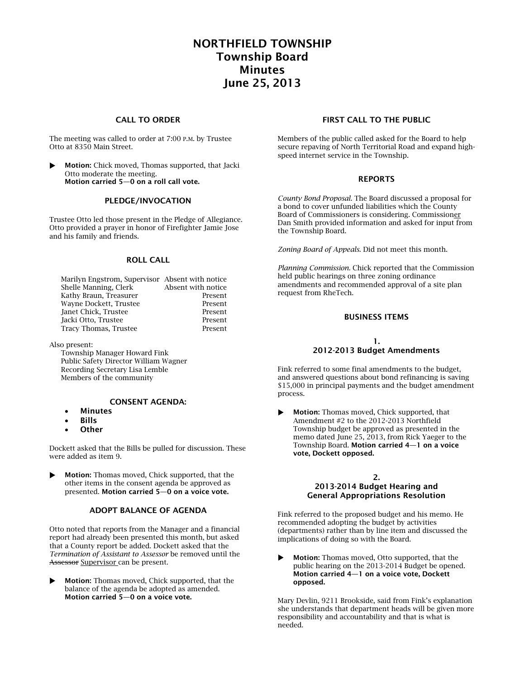## **NORTHFIELD TOWNSHIP Township Board Minutes June 25, 2013**

#### **CALL TO ORDER**

The meeting was called to order at 7:00 P.M. by Trustee Otto at 8350 Main Street.

 **Motion:** Chick moved, Thomas supported, that Jacki Otto moderate the meeting. **Motion carried 5—0 on a roll call vote.**

#### **PLEDGE/INVOCATION**

Trustee Otto led those present in the Pledge of Allegiance. Otto provided a prayer in honor of Firefighter Jamie Jose and his family and friends.

#### **ROLL CALL**

| Marilyn Engstrom, Supervisor Absent with notice |                    |
|-------------------------------------------------|--------------------|
| Shelle Manning, Clerk                           | Absent with notice |
| Kathy Braun, Treasurer                          | Present            |
| Wayne Dockett, Trustee                          | Present            |
| Janet Chick. Trustee                            | Present            |
| Jacki Otto, Trustee                             | Present            |
| Tracy Thomas, Trustee                           | Present            |

Also present:

Township Manager Howard Fink Public Safety Director William Wagner Recording Secretary Lisa Lemble Members of the community

#### **CONSENT AGENDA:**

- **Minutes**
- **Bills**
- **Other**

Dockett asked that the Bills be pulled for discussion. These were added as item 9.

**Motion:** Thomas moved, Chick supported, that the other items in the consent agenda be approved as presented. **Motion carried 5—0 on a voice vote.**

#### **ADOPT BALANCE OF AGENDA**

Otto noted that reports from the Manager and a financial report had already been presented this month, but asked that a County report be added. Dockett asked that the *Termination of Assistant to Assessor* be removed until the Assessor Supervisor can be present.

 **Motion:** Thomas moved, Chick supported, that the balance of the agenda be adopted as amended. **Motion carried 5—0 on a voice vote.**

#### **FIRST CALL TO THE PUBLIC**

Members of the public called asked for the Board to help secure repaving of North Territorial Road and expand highspeed internet service in the Township.

#### **REPORTS**

*County Bond Proposal.* The Board discussed a proposal for a bond to cover unfunded liabilities which the County Board of Commissioners is considering. Commissioner Dan Smith provided information and asked for input from the Township Board.

*Zoning Board of Appeals.* Did not meet this month.

*Planning Commission.* Chick reported that the Commission held public hearings on three zoning ordinance amendments and recommended approval of a site plan request from RheTech.

#### **BUSINESS ITEMS**

#### **1. 2012-2013 Budget Amendments**

Fink referred to some final amendments to the budget, and answered questions about bond refinancing is saving \$15,000 in principal payments and the budget amendment process.

 **Motion:** Thomas moved, Chick supported, that Amendment #2 to the 2012-2013 Northfield Township budget be approved as presented in the memo dated June 25, 2013, from Rick Yaeger to the Township Board. **Motion carried 4—1 on a voice vote, Dockett opposed.**

# **2.**

#### **2013-2014 Budget Hearing and General Appropriations Resolution**

Fink referred to the proposed budget and his memo. He recommended adopting the budget by activities (departments) rather than by line item and discussed the implications of doing so with the Board.

**Motion:** Thomas moved, Otto supported, that the public hearing on the 2013-2014 Budget be opened. **Motion carried 4—1 on a voice vote, Dockett opposed.**

Mary Devlin, 9211 Brookside, said from Fink's explanation she understands that department heads will be given more responsibility and accountability and that is what is needed.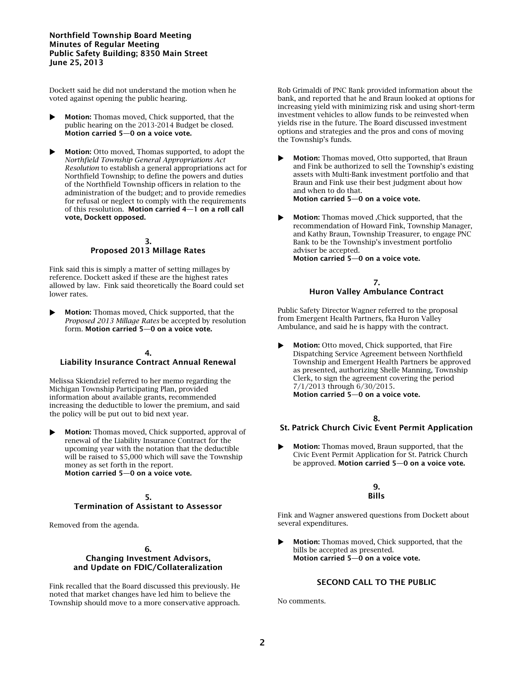#### **Northfield Township Board Meeting Minutes of Regular Meeting Public Safety Building; 8350 Main Street June 25, 2013**

Dockett said he did not understand the motion when he voted against opening the public hearing.

- **Motion:** Thomas moved, Chick supported, that the public hearing on the 2013-2014 Budget be closed. **Motion carried 5—0 on a voice vote.**
- **Motion:** Otto moved, Thomas supported, to adopt the *Northfield Township General Appropriations Act Resolution* to establish a general appropriations act for Northfield Township; to define the powers and duties of the Northfield Township officers in relation to the administration of the budget; and to provide remedies for refusal or neglect to comply with the requirements of this resolution. **Motion carried 4—1 on a roll call vote, Dockett opposed.**

#### **3. Proposed 2013 Millage Rates**

Fink said this is simply a matter of setting millages by reference. Dockett asked if these are the highest rates allowed by law. Fink said theoretically the Board could set lower rates.

**Motion:** Thomas moved, Chick supported, that the *Proposed 2013 Millage Rates* be accepted by resolution form. **Motion carried 5—0 on a voice vote.**

#### **4. Liability Insurance Contract Annual Renewal**

Melissa Skiendziel referred to her memo regarding the Michigan Township Participating Plan, provided information about available grants, recommended increasing the deductible to lower the premium, and said the policy will be put out to bid next year.

 **Motion:** Thomas moved, Chick supported, approval of renewal of the Liability Insurance Contract for the upcoming year with the notation that the deductible will be raised to \$5,000 which will save the Township money as set forth in the report. **Motion carried 5—0 on a voice vote.**

### **5. Termination of Assistant to Assessor**

Removed from the agenda.

#### **6. Changing Investment Advisors, and Update on FDIC/Collateralization**

Fink recalled that the Board discussed this previously. He noted that market changes have led him to believe the Township should move to a more conservative approach.

Rob Grimaldi of PNC Bank provided information about the bank, and reported that he and Braun looked at options for increasing yield with minimizing risk and using short-term investment vehicles to allow funds to be reinvested when yields rise in the future. The Board discussed investment options and strategies and the pros and cons of moving the Township's funds.

- **Motion:** Thomas moved, Otto supported, that Braun and Fink be authorized to sell the Township's existing assets with Multi-Bank investment portfolio and that Braun and Fink use their best judgment about how and when to do that. **Motion carried 5—0 on a voice vote.**
- **Motion:** Thomas moved ,Chick supported, that the recommendation of Howard Fink, Township Manager, and Kathy Braun, Township Treasurer, to engage PNC Bank to be the Township's investment portfolio adviser be accepted. **Motion carried 5—0 on a voice vote.**

#### **7. Huron Valley Ambulance Contract**

Public Safety Director Wagner referred to the proposal from Emergent Health Partners, fka Huron Valley Ambulance, and said he is happy with the contract.

**Motion:** Otto moved, Chick supported, that Fire Dispatching Service Agreement between Northfield Township and Emergent Health Partners be approved as presented, authorizing Shelle Manning, Township Clerk, to sign the agreement covering the period 7/1/2013 through 6/30/2015. **Motion carried 5—0 on a voice vote.**

- **8. St. Patrick Church Civic Event Permit Application**
- **Motion:** Thomas moved, Braun supported, that the Civic Event Permit Application for St. Patrick Church be approved. **Motion carried 5—0 on a voice vote.**

#### **9. Bills**

Fink and Wagner answered questions from Dockett about several expenditures.

 **Motion:** Thomas moved, Chick supported, that the bills be accepted as presented. **Motion carried 5—0 on a voice vote.**

#### **SECOND CALL TO THE PUBLIC**

No comments.